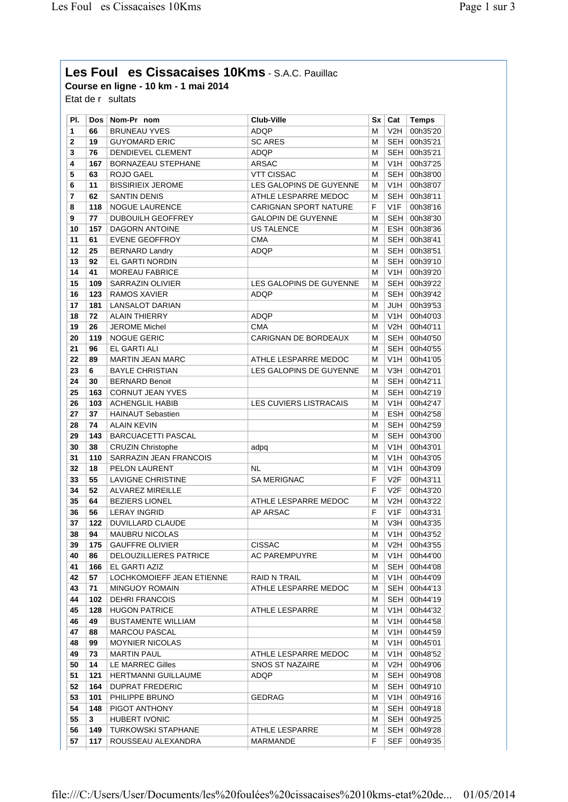## **Les Foules Cissacaises 10Kms** - S.A.C. Pauillac **Course en ligne - 10 km - 1 mai 2014**

Etat de  $r$  sultats

| PI.                     |            | Dos Nom-Pr nom                                  | <b>Club-Ville</b>            | Sx l   | Cat              | <b>Temps</b>         |
|-------------------------|------------|-------------------------------------------------|------------------------------|--------|------------------|----------------------|
| 1                       | 66         | <b>BRUNEAU YVES</b>                             | <b>ADOP</b>                  | м      | V2H              | 00h35'20             |
| $\overline{\mathbf{c}}$ | 19         | <b>GUYOMARD ERIC</b>                            | <b>SC ARES</b>               | м      | SEH              | 00h35'21             |
| 3                       | 76         | DENDIEVEL CLEMENT                               | ADQP                         | м      | <b>SEH</b>       | 00h35'21             |
| 4                       | 167        | <b>BORNAZEAU STEPHANE</b>                       | <b>ARSAC</b>                 | М      | V1H              | 00h37'25             |
| 5                       | 63         | ROJO GAEL                                       | <b>VTT CISSAC</b>            | М      | <b>SEH</b>       | 00h38'00             |
| 6                       | 11         | <b>BISSIRIEIX JEROME</b>                        | LES GALOPINS DE GUYENNE      | М      | V1H              | 00h38'07             |
| 7                       | 62         | <b>SANTIN DENIS</b>                             | ATHLE LESPARRE MEDOC         | м      | <b>SEH</b>       | 00h38'11             |
| 8                       | 118        | <b>NOGUE LAURENCE</b>                           | <b>CARIGNAN SPORT NATURE</b> | F      | V1F              | 00h38'16             |
| 9                       | 77         | <b>DUBOUILH GEOFFREY</b>                        | <b>GALOPIN DE GUYENNE</b>    | м      | SEH              | 00h38'30             |
| 10                      | 157        | <b>DAGORN ANTOINE</b>                           | <b>US TALENCE</b>            | м      | <b>ESH</b>       | 00h38'36             |
| 11                      | 61         | <b>EVENE GEOFFROY</b>                           | <b>CMA</b>                   | М      | <b>SEH</b>       | 00h38'41             |
| 12                      | 25         | <b>BERNARD Landry</b>                           | ADQP                         | м      | <b>SEH</b>       | 00h38'51             |
| 13                      | 92         | EL GARTI NORDIN                                 |                              | м      | <b>SEH</b>       | 00h39'10             |
| 14                      | 41         | <b>MOREAU FABRICE</b>                           |                              | м      | V <sub>1</sub> H | 00h39'20             |
| 15                      | 109        | SARRAZIN OLIVIER                                | LES GALOPINS DE GUYENNE      | м      | SEH              | 00h39'22             |
| 16                      | 123        | RAMOS XAVIER                                    | ADQP                         | м      | <b>SEH</b>       | 00h39'42             |
| 17                      | 181        | LANSALOT DARIAN                                 |                              | м      | JUH              | 00h39'53             |
| 18                      | 72         | <b>ALAIN THIERRY</b>                            | ADQP                         | м      | V <sub>1</sub> H | 00h40'03             |
| 19                      | 26         | JEROME Michel                                   | <b>CMA</b>                   | м      | V2H              | 00h40'11             |
| 20                      | 119        | <b>NOGUE GERIC</b>                              | CARIGNAN DE BORDEAUX         | м      | <b>SEH</b>       | 00h40'50             |
| 21                      | 96         | EL GARTI ALI                                    |                              | м      | <b>SEH</b>       | 00h40'55             |
| 22                      |            | <b>MARTIN JEAN MARC</b>                         | ATHLE LESPARRE MEDOC         |        | V <sub>1</sub> H |                      |
|                         | 89         |                                                 |                              | м      |                  | 00h41'05             |
| 23                      | 6          | <b>BAYLE CHRISTIAN</b>                          | LES GALOPINS DE GUYENNE      | м      | V3H              | 00h42'01             |
| 24                      | 30         | <b>BERNARD Benoit</b>                           |                              | м      | <b>SEH</b>       | 00h42'11             |
| 25                      | 163        | <b>CORNUT JEAN YVES</b>                         |                              | м      | <b>SEH</b>       | 00h42'19             |
| 26                      | 103        | <b>ACHENGLIL HABIB</b>                          | LES CUVIERS LISTRACAIS       | М      | V <sub>1</sub> H | 00h42'47             |
| 27                      | 37         | <b>HAINAUT Sebastien</b>                        |                              | м      | <b>ESH</b>       | 00h42'58             |
| 28                      | 74         | <b>ALAIN KEVIN</b>                              |                              | м      | <b>SEH</b>       | 00h42'59             |
| 29                      | 143        | <b>BARCUACETTI PASCAL</b>                       |                              | м      | <b>SEH</b>       | 00h43'00             |
| 30                      | 38         | <b>CRUZIN Christophe</b>                        | adpq                         | м      | V <sub>1</sub> H | 00h43'01             |
| 31                      | 110        | SARRAZIN JEAN FRANCOIS                          |                              | м      | V1H              | 00h43'05             |
| 32                      | 18         | PELON LAURENT                                   | <b>NL</b>                    | м      | V1H              | 00h43'09             |
| 33                      | 55         | LAVIGNE CHRISTINE                               | <b>SA MERIGNAC</b>           | F      | V2F              | 00h43'11             |
| 34                      | 52         | <b>ALVAREZ MIREILLE</b>                         |                              | F      | V2F              | 00h43'20             |
| 35                      | 64         | <b>BEZIERS LIONEL</b>                           | ATHLE LESPARRE MEDOC         | м      | V2H              | 00h43'22             |
| 36                      | 56         | <b>LERAY INGRID</b>                             | AP ARSAC                     | F      | V <sub>1</sub> F | 00h43'31             |
| 37                      | 122        | DUVILLARD CLAUDE                                |                              | м      | V3H              | 00h43'35             |
| 38                      | 94         | <b>MAUBRU NICOLAS</b>                           |                              | м      | V <sub>1</sub> H | 00h43'52             |
| 39                      | 175        | <b>GAUFFRE OLIVIER</b>                          | <b>CISSAC</b>                | м      | V <sub>2</sub> H | 00h43'55             |
| 40                      | 86         | <b>DELOUZILLIERES PATRICE</b>                   | AC PAREMPUYRE                | м      | V1H              | 00h44'00             |
| 41                      | 166        | EL GARTI AZIZ                                   |                              | м      | SEH              | 00h44'08             |
| 42                      | 57         | LOCHKOMOIEFF JEAN ETIENNE                       | RAID N TRAIL                 | м      | V1H              | 00h44'09             |
| 43                      | 71         | <b>MINGUOY ROMAIN</b>                           | ATHLE LESPARRE MEDOC         | М      | SEH              | 00h44'13             |
| 44                      | 102        | DEHRI FRANCOIS                                  |                              | М      | SEH              | 00h44'19             |
| 45                      | 128        | <b>HUGON PATRICE</b>                            | ATHLE LESPARRE               | м      | V1H              | 00h44'32             |
| 46                      | 49         | <b>BUSTAMENTE WILLIAM</b>                       |                              | м      | V1H              | 00h44'58             |
| 47                      | 88         | <b>MARCOU PASCAL</b>                            |                              | м      | V1H              | 00h44'59             |
| 48                      | 99         | <b>MOYNIER NICOLAS</b>                          |                              | м      | V1H              | 00h45'01             |
| 49                      | 73         | <b>MARTIN PAUL</b>                              | ATHLE LESPARRE MEDOC         | м      | V1H              | 00h48'52             |
| 50                      | 14         | LE MARREC Gilles                                | <b>SNOS ST NAZAIRE</b>       | м      | V2H              | 00h49'06             |
| 51                      | 121        | <b>HERTMANNI GUILLAUME</b>                      | ADQP                         | м      | SEH              | 00h49'08             |
| 52                      | 164        | <b>DUPRAT FREDERIC</b>                          |                              | м      | SEH              | 00h49'10             |
| 53                      | 101        | PHILIPPE BRUNO                                  | <b>GEDRAG</b>                | м      | V1H              | 00h49'16             |
|                         |            |                                                 |                              |        |                  |                      |
|                         | 148        | PIGOT ANTHONY<br><b>HUBERT IVONIC</b>           |                              | м      | SEH I            | 00h49'18             |
|                         |            |                                                 |                              | м      | SEH              | 00h49'25             |
|                         | 3          |                                                 |                              |        |                  |                      |
| 54<br>55<br>56<br>57    | 149<br>117 | <b>TURKOWSKI STAPHANE</b><br>ROUSSEAU ALEXANDRA | ATHLE LESPARRE<br>MARMANDE   | м<br>F | SEH<br>SEF       | 00h49'28<br>00h49'35 |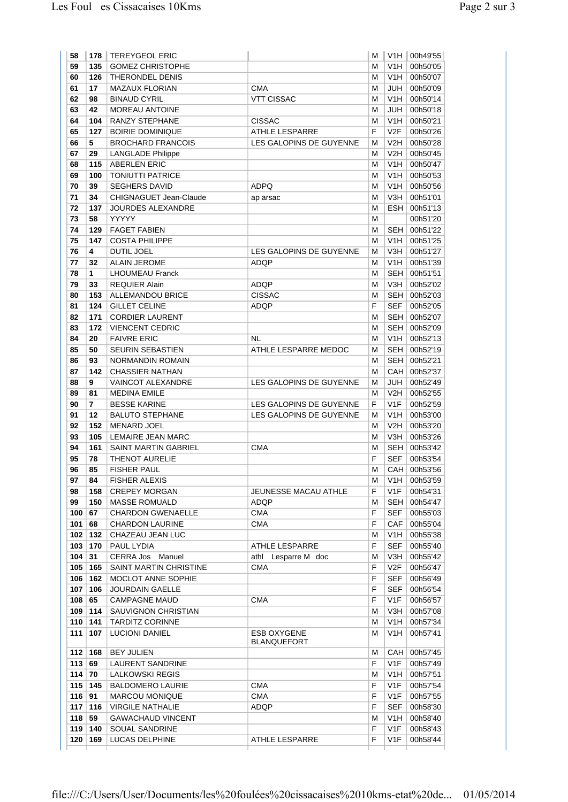| 58         | 178        | <b>TEREYGEOL ERIC</b>            |                         | м      | V1H                                 | 00h49'55             |
|------------|------------|----------------------------------|-------------------------|--------|-------------------------------------|----------------------|
| 59         | 135        | <b>GOMEZ CHRISTOPHE</b>          |                         | м      | V1H                                 | 00h50'05             |
| 60         | 126        | THERONDEL DENIS                  |                         | м      | V1H                                 | 00h50'07             |
| 61         | 17         | <b>MAZAUX FLORIAN</b>            | <b>CMA</b>              | м      | JUH                                 | 00h50'09             |
| 62         | 98         | <b>BINAUD CYRIL</b>              | <b>VTT CISSAC</b>       | м      | V1H                                 | 00h50'14             |
| 63         | 42         | MOREAU ANTOINE                   |                         | м      | JUH                                 | 00h50'18             |
| 64         | 104        | RANZY STEPHANE                   | <b>CISSAC</b>           | М      | V <sub>1</sub> H                    | 00h50'21             |
| 65         | 127        | <b>BOIRIE DOMINIQUE</b>          | <b>ATHLE LESPARRE</b>   | F      | V2F                                 | 00h50'26             |
| 66         | 5          | <b>BROCHARD FRANCOIS</b>         | LES GALOPINS DE GUYENNE | м      | V2H                                 | 00h50'28             |
| 67         | 29         | <b>LANGLADE Philippe</b>         |                         | м      | V2H                                 | 00h50'45             |
| 68         | 115        | <b>ABERLEN ERIC</b>              |                         | м      | V1H                                 | 00h50'47             |
| 69         | 100        | <b>TONIUTTI PATRICE</b>          |                         | м      | V1H                                 | 00h50'53             |
| 70         | 39         | <b>SEGHERS DAVID</b>             | <b>ADPQ</b>             | м      | V <sub>1</sub> H                    | 00h50'56             |
| 71         | 34         | CHIGNAGUET Jean-Claude           | ap arsac                | М      | V3H                                 | 00h51'01             |
| 72         | 137        | <b>JOURDES ALEXANDRE</b>         |                         | М      | <b>ESH</b>                          | 00h51'13             |
| 73         | 58         | YYYYY                            |                         | М      |                                     | 00h51'20             |
| 74         | 129        | <b>FAGET FABIEN</b>              |                         | м      | SEH                                 | 00h51'22             |
| 75         | 147        | <b>COSTA PHILIPPE</b>            |                         | М      | V <sub>1</sub> H                    | 00h51'25             |
| 76         | 4          | <b>DUTIL JOEL</b>                | LES GALOPINS DE GUYENNE | м      | V3H                                 | 00h51'27             |
| 77         | 32         | <b>ALAIN JEROME</b>              | ADQP                    | м      | V1H                                 | 00h51'39             |
| 78         | 1          | <b>LHOUMEAU Franck</b>           |                         | м      | <b>SEH</b>                          | 00h51'51             |
| 79         | 33         | <b>REQUIER Alain</b>             | ADQP                    | м      | V3H                                 | 00h52'02             |
| 80         | 153        | <b>ALLEMANDOU BRICE</b>          | <b>CISSAC</b>           | м      | <b>SEH</b>                          | 00h52'03             |
| 81         | 124        | <b>GILLET CELINE</b>             | <b>ADQP</b>             | F      | <b>SEF</b>                          | 00h52'05             |
| 82         | 171        | <b>CORDIER LAURENT</b>           |                         | М      | <b>SEH</b>                          | 00h52'07             |
| 83         | 172        | <b>VIENCENT CEDRIC</b>           |                         | м      | SEH                                 | 00h52'09             |
| 84         | 20         | <b>FAIVRE ERIC</b>               | <b>NL</b>               | М      | V1H                                 | 00h52'13             |
| 85         | 50         | <b>SEURIN SEBASTIEN</b>          | ATHLE LESPARRE MEDOC    | м      | SEH                                 | 00h52'19             |
| 86         | 93         | NORMANDIN ROMAIN                 |                         | м      | <b>SEH</b>                          | 00h52'21             |
| 87         | 142        | <b>CHASSIER NATHAN</b>           |                         | м      | CAH                                 | 00h52'37             |
| 88         | 9          | <b>VAINCOT ALEXANDRE</b>         | LES GALOPINS DE GUYENNE | М      | <b>JUH</b>                          | 00h52'49             |
| 89         | 81         | <b>MEDINA EMILE</b>              |                         | м      | V2H                                 | 00h52'55             |
| 90         | 7          | <b>BESSE KARINE</b>              | LES GALOPINS DE GUYENNE | F      | V1F                                 | 00h52'59             |
| 91         | 12         | <b>BALUTO STEPHANE</b>           | LES GALOPINS DE GUYENNE | М      | V <sub>1</sub> H                    | 00h53'00             |
| 92         | 152        | <b>MENARD JOEL</b>               |                         | м      | V2H                                 | 00h53'20             |
| 93         | 105        | LEMAIRE JEAN MARC                |                         | м      | V3H                                 | 00h53'26             |
| 94         | 161        | <b>SAINT MARTIN GABRIEL</b>      | <b>CMA</b>              | м      | SEH                                 | 00h53'42             |
| 95         | 78         | <b>THENOT AURELIE</b>            |                         | F      | <b>SEF</b>                          | 00h53'54             |
| 96         | 85         | <b>FISHER PAUL</b>               |                         | М      | CAH                                 | 00h53'56             |
| 97         | 84         | <b>FISHER ALEXIS</b>             |                         | м      | V1H                                 | 00h53'59             |
| 98         | 158        | <b>CREPEY MORGAN</b>             | JEUNESSE MACAU ATHLE    | F      | V <sub>1</sub> F                    | 00h54'31             |
| 99         | 150        | <b>MASSE ROMUALD</b>             | ADQP                    | м      | SEH                                 | 00h54'47             |
| 100        | 67         | <b>CHARDON GWENAELLE</b>         | CMA                     | F      | SEF                                 | 00h55'03             |
| 101        | 68         | <b>CHARDON LAURINE</b>           | CMA                     | F      | CAF                                 | 00h55'04             |
| 102        | 132        | CHAZEAU JEAN LUC                 |                         | М      | V1H                                 | 00h55'38             |
| 103        | 170        | PAUL LYDIA                       | ATHLE LESPARRE          | F      | <b>SEF</b>                          | 00h55'40             |
| 104        | 31         | CERRA Jos Manuel                 | athl<br>Lesparre M doc  | м      | V3H                                 | 00h55'42             |
| 105        | 165        | SAINT MARTIN CHRISTINE           | <b>CMA</b>              | F      | V <sub>2</sub> F                    | 00h56'47             |
| 106        | 162        | <b>MOCLOT ANNE SOPHIE</b>        |                         | F      | <b>SEF</b>                          | 00h56'49             |
| 107        | 106        | <b>JOURDAIN GAELLE</b>           |                         | F      | SEF                                 | 00h56'54             |
| 108        | 65         | <b>CAMPAGNE MAUD</b>             | <b>CMA</b>              | F      | V1F                                 | 00h56'57             |
| 109        | 114        | SAUVIGNON CHRISTIAN              |                         | м      | V3H                                 | 00h57'08             |
| 110        | 141        | <b>TARDITZ CORINNE</b>           |                         | м      | V1H                                 | 00h57'34             |
| 111        | 107        | <b>LUCIONI DANIEL</b>            | ESB OXYGENE             | м      | V1H                                 | 00h57'41             |
|            |            |                                  | <b>BLANQUEFORT</b>      |        |                                     |                      |
| 112        | 168        | <b>BEY JULIEN</b>                |                         | М      | CAH                                 | 00h57'45             |
| 113        | 69         | LAURENT SANDRINE                 |                         | F      | V1F                                 | 00h57'49             |
| 114        | 70         | LALKOWSKI REGIS                  |                         | М      | V1H                                 | 00h57'51             |
| 115        | 145        | <b>BALDOMERO LAURIE</b>          | <b>CMA</b>              | F      | V <sub>1</sub> F                    | 00h57'54             |
| 116        | 91         | <b>MARCOU MONIQUE</b>            | <b>CMA</b>              | F      | V1F                                 | 00h57'55             |
| 117        | 116        | <b>VIRGILE NATHALIE</b>          | ADQP                    | F      | SEF                                 | 00h58'30             |
| 118<br>119 | 59         | <b>GAWACHAUD VINCENT</b>         |                         | м<br>F | V <sub>1</sub> H<br>V <sub>1F</sub> | 00h58'40             |
|            |            |                                  |                         |        |                                     |                      |
| 120        | 140<br>169 | SOUAL SANDRINE<br>LUCAS DELPHINE | ATHLE LESPARRE          | F      | V <sub>1</sub> F                    | 00h58'43<br>00h58'44 |